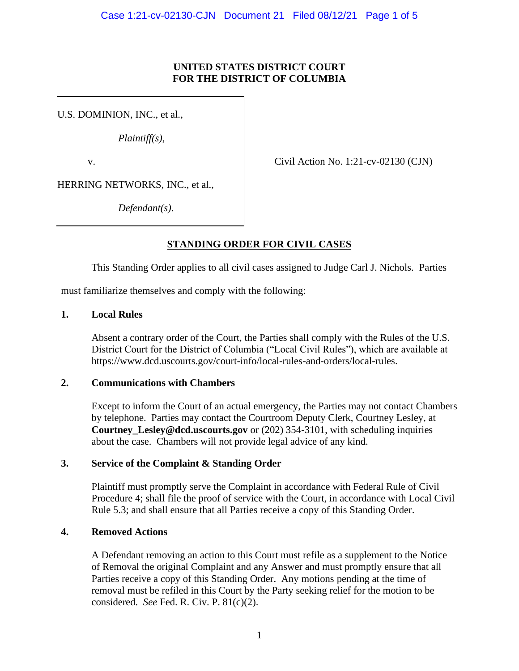### **UNITED STATES DISTRICT COURT FOR THE DISTRICT OF COLUMBIA**

U.S. DOMINION, INC., et al.,

*Plaintiff(s)*,

v. Civil Action No. 1:21-cv-02130 (CJN)

HERRING NETWORKS, INC., et al.,

*Defendant(s)*.

# **STANDING ORDER FOR CIVIL CASES**

This Standing Order applies to all civil cases assigned to Judge Carl J. Nichols. Parties

must familiarize themselves and comply with the following:

### **1. Local Rules**

Absent a contrary order of the Court, the Parties shall comply with the Rules of the U.S. District Court for the District of Columbia ("Local Civil Rules"), which are available at https://www.dcd.uscourts.gov/court-info/local-rules-and-orders/local-rules.

# **2. Communications with Chambers**

Except to inform the Court of an actual emergency, the Parties may not contact Chambers by telephone. Parties may contact the Courtroom Deputy Clerk, Courtney Lesley, at **Courtney\_Lesley@dcd.uscourts.gov** or (202) 354-3101, with scheduling inquiries about the case. Chambers will not provide legal advice of any kind.

# **3. Service of the Complaint & Standing Order**

Plaintiff must promptly serve the Complaint in accordance with Federal Rule of Civil Procedure 4; shall file the proof of service with the Court, in accordance with Local Civil Rule 5.3; and shall ensure that all Parties receive a copy of this Standing Order.

# **4. Removed Actions**

A Defendant removing an action to this Court must refile as a supplement to the Notice of Removal the original Complaint and any Answer and must promptly ensure that all Parties receive a copy of this Standing Order. Any motions pending at the time of removal must be refiled in this Court by the Party seeking relief for the motion to be considered. *See* Fed. R. Civ. P. 81(c)(2).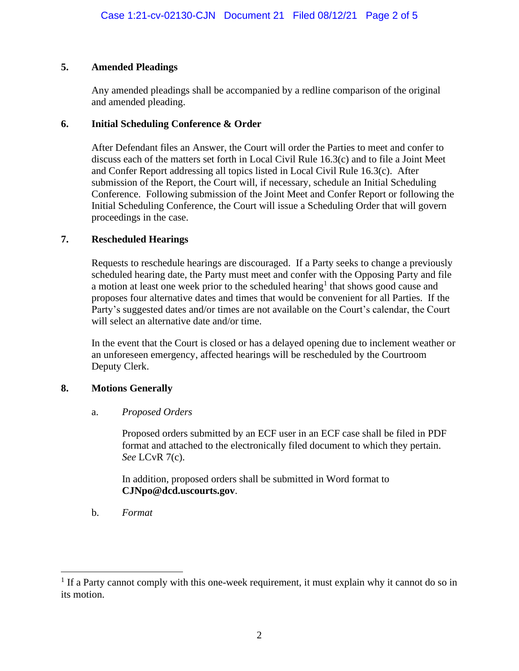# **5. Amended Pleadings**

Any amended pleadings shall be accompanied by a redline comparison of the original and amended pleading.

# **6. Initial Scheduling Conference & Order**

After Defendant files an Answer, the Court will order the Parties to meet and confer to discuss each of the matters set forth in Local Civil Rule 16.3(c) and to file a Joint Meet and Confer Report addressing all topics listed in Local Civil Rule 16.3(c). After submission of the Report, the Court will, if necessary, schedule an Initial Scheduling Conference. Following submission of the Joint Meet and Confer Report or following the Initial Scheduling Conference, the Court will issue a Scheduling Order that will govern proceedings in the case.

# **7. Rescheduled Hearings**

Requests to reschedule hearings are discouraged. If a Party seeks to change a previously scheduled hearing date, the Party must meet and confer with the Opposing Party and file a motion at least one week prior to the scheduled hearing<sup>1</sup> that shows good cause and proposes four alternative dates and times that would be convenient for all Parties. If the Party's suggested dates and/or times are not available on the Court's calendar, the Court will select an alternative date and/or time.

In the event that the Court is closed or has a delayed opening due to inclement weather or an unforeseen emergency, affected hearings will be rescheduled by the Courtroom Deputy Clerk.

# **8. Motions Generally**

# a. *Proposed Orders*

Proposed orders submitted by an ECF user in an ECF case shall be filed in PDF format and attached to the electronically filed document to which they pertain. *See* LCvR 7(c).

In addition, proposed orders shall be submitted in Word format to **CJNpo@dcd.uscourts.gov**.

b. *Format*

 $<sup>1</sup>$  If a Party cannot comply with this one-week requirement, it must explain why it cannot do so in</sup> its motion.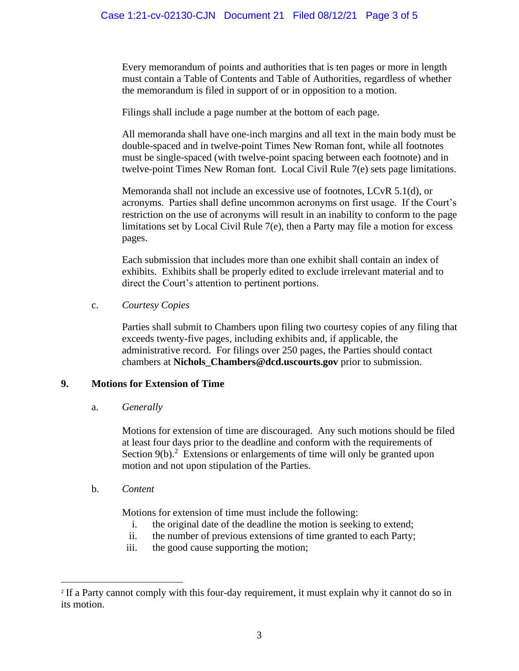Every memorandum of points and authorities that is ten pages or more in length must contain a Table of Contents and Table of Authorities, regardless of whether the memorandum is filed in support of or in opposition to a motion.

Filings shall include a page number at the bottom of each page.

All memoranda shall have one-inch margins and all text in the main body must be double-spaced and in twelve-point Times New Roman font, while all footnotes must be single-spaced (with twelve-point spacing between each footnote) and in twelve-point Times New Roman font. Local Civil Rule 7(e) sets page limitations.

Memoranda shall not include an excessive use of footnotes, LCvR 5.1(d), or acronyms. Parties shall define uncommon acronyms on first usage. If the Court's restriction on the use of acronyms will result in an inability to conform to the page limitations set by Local Civil Rule 7(e), then a Party may file a motion for excess pages.

Each submission that includes more than one exhibit shall contain an index of exhibits. Exhibits shall be properly edited to exclude irrelevant material and to direct the Court's attention to pertinent portions.

#### c. *Courtesy Copies*

Parties shall submit to Chambers upon filing two courtesy copies of any filing that exceeds twenty-five pages, including exhibits and, if applicable, the administrative record. For filings over 250 pages, the Parties should contact chambers at **Nichols\_Chambers@dcd.uscourts.gov** prior to submission.

### **9. Motions for Extension of Time**

a. *Generally*

Motions for extension of time are discouraged. Any such motions should be filed at least four days prior to the deadline and conform with the requirements of Section  $9(b)$ <sup>2</sup>. Extensions or enlargements of time will only be granted upon motion and not upon stipulation of the Parties.

b. *Content*

Motions for extension of time must include the following:

- i. the original date of the deadline the motion is seeking to extend;
- ii. the number of previous extensions of time granted to each Party;
- iii. the good cause supporting the motion;

<sup>&</sup>lt;sup>2</sup> If a Party cannot comply with this four-day requirement, it must explain why it cannot do so in its motion.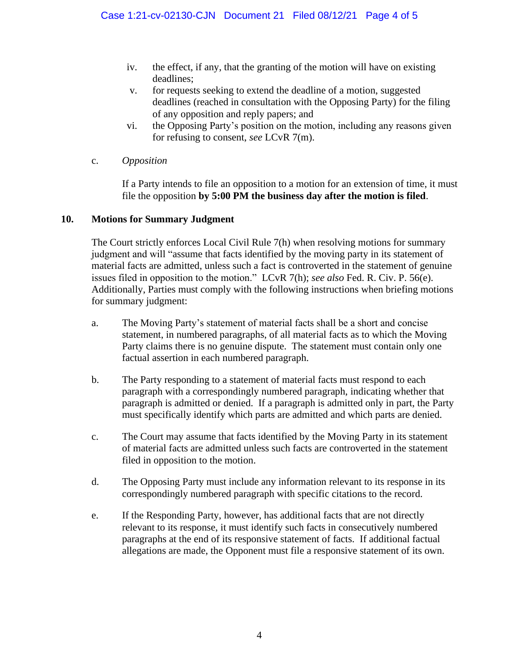- iv. the effect, if any, that the granting of the motion will have on existing deadlines;
- v. for requests seeking to extend the deadline of a motion, suggested deadlines (reached in consultation with the Opposing Party) for the filing of any opposition and reply papers; and
- vi. the Opposing Party's position on the motion, including any reasons given for refusing to consent, *see* LCvR 7(m).
- c. *Opposition*

If a Party intends to file an opposition to a motion for an extension of time, it must file the opposition **by 5:00 PM the business day after the motion is filed**.

### **10. Motions for Summary Judgment**

The Court strictly enforces Local Civil Rule 7(h) when resolving motions for summary judgment and will "assume that facts identified by the moving party in its statement of material facts are admitted, unless such a fact is controverted in the statement of genuine issues filed in opposition to the motion." LCvR 7(h); *see also* Fed. R. Civ. P. 56(e). Additionally, Parties must comply with the following instructions when briefing motions for summary judgment:

- a. The Moving Party's statement of material facts shall be a short and concise statement, in numbered paragraphs, of all material facts as to which the Moving Party claims there is no genuine dispute. The statement must contain only one factual assertion in each numbered paragraph.
- b. The Party responding to a statement of material facts must respond to each paragraph with a correspondingly numbered paragraph, indicating whether that paragraph is admitted or denied. If a paragraph is admitted only in part, the Party must specifically identify which parts are admitted and which parts are denied.
- c. The Court may assume that facts identified by the Moving Party in its statement of material facts are admitted unless such facts are controverted in the statement filed in opposition to the motion.
- d. The Opposing Party must include any information relevant to its response in its correspondingly numbered paragraph with specific citations to the record.
- e. If the Responding Party, however, has additional facts that are not directly relevant to its response, it must identify such facts in consecutively numbered paragraphs at the end of its responsive statement of facts. If additional factual allegations are made, the Opponent must file a responsive statement of its own.